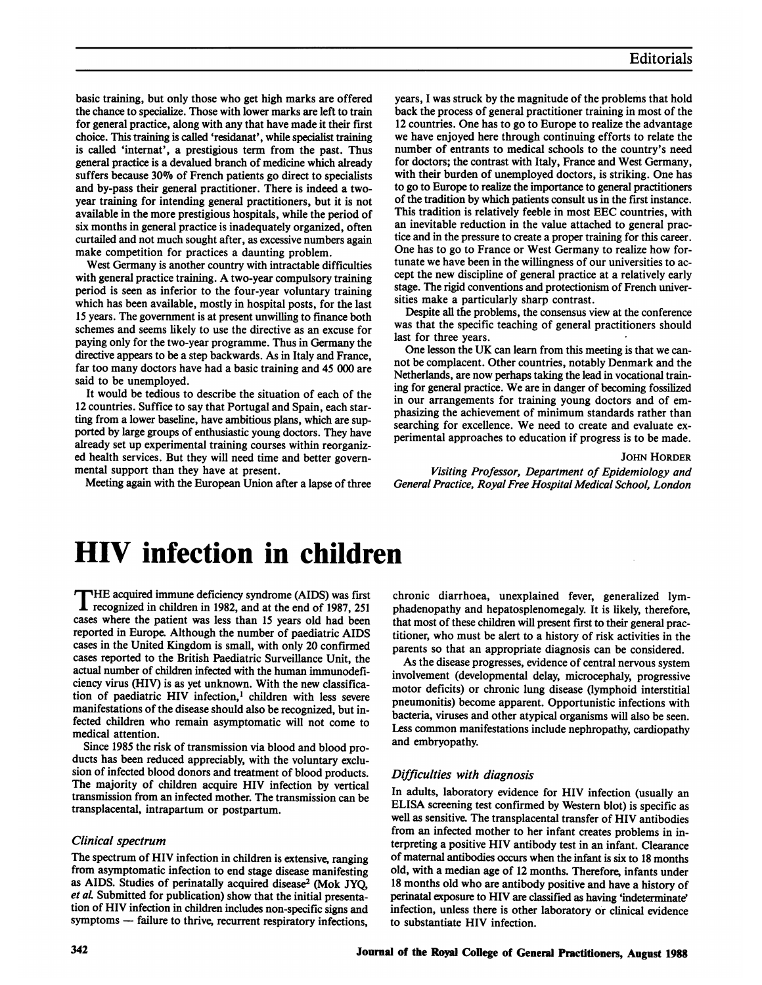basic training, but only those who get high marks are offered the chance to specialize. Those with lower marks are left to train for general practice, along with any that have made it their first choice. This training is called 'residanat', while specialist training is called 'internat', a prestigious term from the past. Thus general practice is a devalued branch of medicine which already suffers because 30% of French patients go direct to specialists and by-pass their general practitioner. There is indeed a twoyear training for intending general practitioners, but it is not available in the more prestigious hospitals, while the period of six months in general practice is inadequately organized, often curtailed and not much sought after, as excessive numbers again make competition for practices a daunting problem.

West Germany is another country with intractable difficulties with general practice training. A two-year compulsory training period is seen as inferior to the four-year voluntary training which has been available, mostly in hospital posts, for the last 15 years. The government is at present unwilling to finance both schemes and seems likely to use the directive as an excuse for paying only for the two-year programme. Thus in Germany the directive appears to be a step backwards. As in Italy and France, far too many doctors have had a basic training and 45 000 are said to be unemployed.

It would be tedious to describe the situation of each of the 12 countries. Suffice to say that Portugal and Spain, each starting from a lower baseline, have ambitious plans, which are supported by large groups of enthusiastic young doctors. They have already set up experimental training courses within reorganized health services. But they will need time and better governmental support than they have at present.

Meeting again with the European Union after a lapse of three

years, <sup>I</sup> was struck by the magnitude of the problems that hold back the process of general practitioner training in most of the 12 countries. One has to go to Europe to realize the advantage we have enjoyed here through continuing efforts to relate the number of entrants to medical schools to the country's need for doctors; the contrast with Italy, France and West Germany, with their burden of unemployed doctors, is striking. One has to go to Europe to realize the importance to general practitioners of the tradition by which patients consult us in the first instance. This tradition is relatively feeble in most EEC countries, with an inevitable reduction in the value attached to general practice and in the pressure to create a proper training for this career. One has to go to France or West Germany to realize how fortunate we have been in the willingness of our universities to accept the new discipline of general practice at a relatively early stage. The rigid conventions and protectionism of French universities make a particularly sharp contrast.

Despite all the problems, the consensus view at the conference was that the specific teaching of general practitioners should last for three years.

One lesson the UK can learn from this meeting is that we cannot be complacent. Other countries, notably Denmark and the Netherlands, are now perhaps taking the lead in vocational training for general practice. We are in danger of becoming fossilized in our arrangements for training young doctors and of emphasizing the achievement of minimum standards rather than searching for excellence. We need to create and evaluate experimental approaches to education if progress is to be made.

#### JOHN HORDER

Visiting Professor, Department of Epidemiology and General Practice, Royal Free Hospital Medical School, London

# HIV infection in children

THE acquired immune deficiency syndrome (AIDS) was first **I** recognized in children in 1982, and at the end of 1987, 251 cases where the patient was less than 15 years old had been reported in Europe. Although the number of paediatric AIDS cases in the United Kingdom is small, with only 20 confirmed cases reported to the British Paediatric Surveillance Unit, the actual number of children infected with the human immunodeficiency virus (HIV) is as yet unknown. With the new classification of paediatric HIV infection,' children with less severe manifestations of the disease should also be recognized, but infected children who remain asymptomatic will not come to medical attention.

Since 1985 the risk of transmission via blood and blood products has been reduced appreciably, with the voluntary exclusion of infected blood donors and treatment of blood products. The majority of children acquire HIV infection by vertical transmission from an infected mother. The transmission can be transplacental, intrapartum or postpartum.

## Clinical spectrum

The spectrum of HIV infection in children is extensive, ranging from asymptomatic infection to end stage disease manifesting as AIDS. Studies of perinatally acquired disease<sup>2</sup> (Mok JYO, et al. Submitted for publication) show that the initial presentation of HIV infection in children includes non-specific signs and symptoms - failure to thrive, recurrent respiratory infections,

chronic diarrhoea, unexplained fever, generalized lymphadenopathy and hepatosplenomegaly. It is likely, therefore, that most of these children will present first to their general practitioner, who must be alert to a history of risk activities in the parents so that an appropriate diagnosis can be considered.

As the disease progresses, evidence of central nervous system involvement (developmental delay, microcephaly, progressive motor deficits) or chronic lung disease (lymphoid interstitial pneumonitis) become apparent. Opportunistic infections with bacteria, viruses and other atypical organisms will also be seen. Less common manifestations include nephropathy, cardiopathy and embryopathy.

### Difficulties with diagnosis

In adults, laboratory evidence for HIV infection (usually an ELISA screening test confirmed by Western blot) is specific as well as sensitive. The transplacental transfer of HIV antibodies from an infected mother to her infant creates problems in interpreting a positive HIV antibody test in an infant. Clearance of maternal antibodies occurs when the infant is six to <sup>18</sup> months old, with a median age of 12 months. Therefore, infants under <sup>18</sup> months old who are antibody positive and have a history of perinatal exposure to HIV are classified as having 'indeterminate' infection, unless there is other laboratory or clinical evidence to substantiate HIV infection.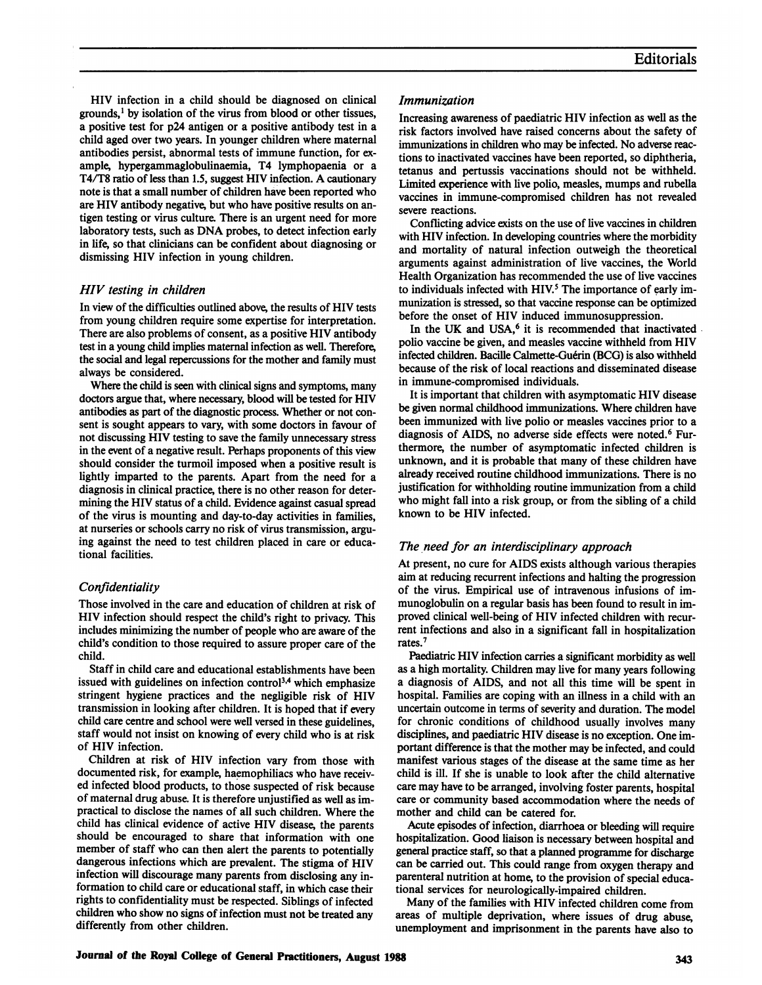HIV infection in a child should be diagnosed on clinical grounds,' by isolation of the virus from blood or other tissues, a positive test for p24 antigen or a positive antibody test in a child aged over two years. In younger children where maternal antibodies persist, abnormal tests of immune function, for example, hypergammaglobulinaemia, T4 lymphopaenia or a T4/T8 ratio of less than 1.5, suggest HIV infection. A cautionary note is that a small number of children have been reported who are HIV antibody negative, but who have positive results on antigen testing or virus culture. There is an urgent need for more laboratory tests, such as DNA probes, to detect infection early in life, so that clinicians can be confident about diagnosing or dismissing HIV infection in young children.

## HIV testing in children

In view of the difficulties outlined above, the results of HIV tests from young children require some expertise for interpretation. There are also problems of consent, as a positive HIV antibody test in a young child implies maternal infection as well. Therefore, the social and legal repercussions for the mother and family must always be considered.

Where the child is seen with clinical signs and symptoms, many doctors argue that, where necessary, blood will be tested for HIV antibodies as part of the diagnostic process. Whether or not consent is sought appears to vary, with some doctors in favour of not discussing HIV testing to save the family unnecessary stress in the event of a negative result. Perhaps proponents of this view should consider the turmoil imposed when a positive result is lightly imparted to the parents. Apart from the need for a diagnosis in clinical practice, there is no other reason for determining the HIV status of a child. Evidence against casual spread of the virus is mounting and day-to-day activities in families, at nurseries or schools carry no risk of virus transmission, arguing against the need to test children placed in care or educational facilities.

## **Confidentiality**

Those involved in the care and education of children at risk of HIV infection should respect the child's right to privacy. This includes minimizing the number of people who are aware of the child's condition to those required to assure proper care of the child.

Staff in child care and educational establishments have been issued with guidelines on infection control<sup>3,4</sup> which emphasize stringent hygiene practices and the negligible risk of HIV transmission in looking after children. It is hoped that if every child care centre and school were well versed in these guidelines, staff would not insist on knowing of every child who is at risk of HIV infection.

Children at risk of HIV infection vary from those with documented risk, for example, haemophiliacs who have received infected blood products, to those suspected of risk because of maternal drug abuse. It is therefore unjustified as well as impractical to disclose the names of all such children. Where the child has clinical evidence of active HIV disease, the parents should be encouraged to share that information with one member of staff who can then alert the parents to potentially dangerous infections which are prevalent. The stigma of HIV infection will discourage many parents from disclosing any information to child care or educational staff, in which case their rights to confidentiality must be respected. Siblings of infected children who show no signs of infection must not be treated any differently from other children.

## Immunization

Increasing awareness of paediatric HIV infection as well as the risk factors involved have raised concerns about the safety of immunizations in children who may be infected. No adverse reactions to inactivated vaccines have been reported, so diphtheria, tetanus and pertussis vaccinations should not be withheld. Limited experience with live polio, measles, mumps and rubella vaccines in immune-compromised children has not revealed severe reactions.

Conflicting advice exists on the use of live vaccines in children with HIV infection. In developing countries where the morbidity and mortality of natural infection outweigh the theoretical arguments against administration of live vaccines, the World Health Organization has recommended the use of live vaccines to individuals infected with HIV.<sup>5</sup> The importance of early immunization is stressed, so that vaccine response can be optimized before the onset of HIV induced immunosuppression.

In the UK and USA,<sup>6</sup> it is recommended that inactivated polio vaccine be given, and measles vaccine withheld from HIV infected children. Bacille Calmette-Guérin (BCG) is also withheld because of the risk of local reactions and disseminated disease in immune-compromised individuals.

It is important that children with asymptomatic HIV disease be given normal childhood immunizations. Where children have been immunized with live polio or measles vaccines prior to a diagnosis of AIDS, no adverse side effects were noted.<sup>6</sup> Furthermore, the number of asymptomatic infected children is unknown, and it is probable that many of these children have already received routine childhood immunizations. There is no justification for withholding routine immunization from a child who might fall into a risk group, or from the sibling of a child known to be HIV infected.

## The need for an interdisciplinary approach

At present, no cure for AIDS exists although various therapies aim at reducing recurrent infections and halting the progression of the virus. Empirical use of intravenous infusions of immunoglobulin on a regular basis has been found to result in improved clinical well-being of HIV infected children with recurrent infections and also in a significant fall in hospitalization rates.7

Paediatric HIV infection carries a significant morbidity as well as a high mortality. Children may live for many years following a diagnosis of AIDS, and not all this time will be spent in hospital. Families are coping with an illness in a child with an uncertain outcome in terms of severity and duration. The model for chronic conditions of childhood usually involves many disciplines, and paediatric HIV disease is no exception. One important difference is that the mother may be infected, and could manifest various stages of the disease at the same time as her child is ill. If she is unable to look after the child alternative care may have to be arranged, involving foster parents, hospital care or community based accommodation where the needs of mother and child can be catered for.

Acute episodes of infection, diarrhoea or bleeding will require hospitalization. Good liaison is necessary between hospital and general practice staff, so that a planned programme for discharge can be carried out. This could range from oxygen therapy and parenteral nutrition at home, to the provision of special educational services for neurologically-impaired children.

Many of the families with HIV infected children come from areas of multiple deprivation, where issues of drug abuse, unemployment and imprisonment in the parents have also to